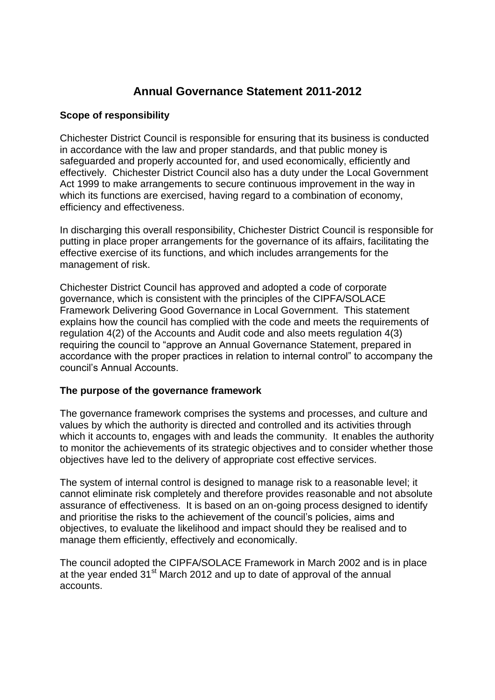# **Annual Governance Statement 2011-2012**

# **Scope of responsibility**

Chichester District Council is responsible for ensuring that its business is conducted in accordance with the law and proper standards, and that public money is safeguarded and properly accounted for, and used economically, efficiently and effectively. Chichester District Council also has a duty under the Local Government Act 1999 to make arrangements to secure continuous improvement in the way in which its functions are exercised, having regard to a combination of economy, efficiency and effectiveness.

In discharging this overall responsibility, Chichester District Council is responsible for putting in place proper arrangements for the governance of its affairs, facilitating the effective exercise of its functions, and which includes arrangements for the management of risk.

Chichester District Council has approved and adopted a code of corporate governance, which is consistent with the principles of the CIPFA/SOLACE Framework Delivering Good Governance in Local Government. This statement explains how the council has complied with the code and meets the requirements of regulation 4(2) of the Accounts and Audit code and also meets regulation 4(3) requiring the council to "approve an Annual Governance Statement, prepared in accordance with the proper practices in relation to internal control" to accompany the council's Annual Accounts.

# **The purpose of the governance framework**

The governance framework comprises the systems and processes, and culture and values by which the authority is directed and controlled and its activities through which it accounts to, engages with and leads the community. It enables the authority to monitor the achievements of its strategic objectives and to consider whether those objectives have led to the delivery of appropriate cost effective services.

The system of internal control is designed to manage risk to a reasonable level; it cannot eliminate risk completely and therefore provides reasonable and not absolute assurance of effectiveness. It is based on an on-going process designed to identify and prioritise the risks to the achievement of the council's policies, aims and objectives, to evaluate the likelihood and impact should they be realised and to manage them efficiently, effectively and economically.

The council adopted the CIPFA/SOLACE Framework in March 2002 and is in place at the year ended  $31<sup>st</sup>$  March 2012 and up to date of approval of the annual accounts.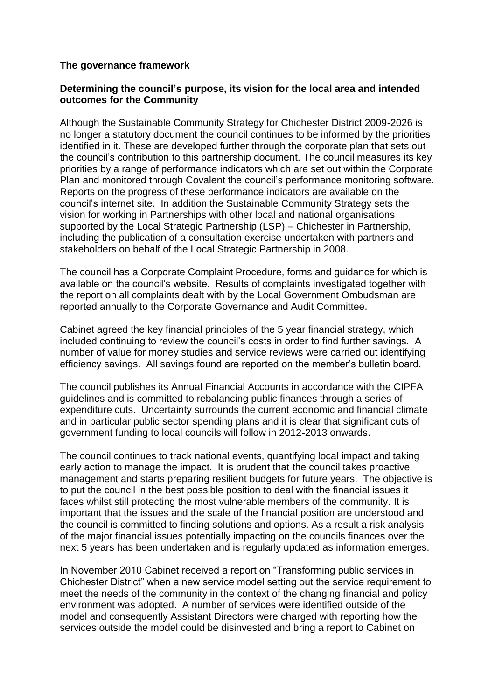#### **The governance framework**

#### **Determining the council's purpose, its vision for the local area and intended outcomes for the Community**

Although the Sustainable Community Strategy for Chichester District 2009-2026 is no longer a statutory document the council continues to be informed by the priorities identified in it. These are developed further through the corporate plan that sets out the council's contribution to this partnership document. The council measures its key priorities by a range of performance indicators which are set out within the Corporate Plan and monitored through Covalent the council's performance monitoring software. Reports on the progress of these performance indicators are available on the council's internet site. In addition the Sustainable Community Strategy sets the vision for working in Partnerships with other local and national organisations supported by the Local Strategic Partnership (LSP) – Chichester in Partnership, including the publication of a consultation exercise undertaken with partners and stakeholders on behalf of the Local Strategic Partnership in 2008.

The council has a Corporate Complaint Procedure, forms and guidance for which is available on the council's website. Results of complaints investigated together with the report on all complaints dealt with by the Local Government Ombudsman are reported annually to the Corporate Governance and Audit Committee.

Cabinet agreed the key financial principles of the 5 year financial strategy, which included continuing to review the council's costs in order to find further savings. A number of value for money studies and service reviews were carried out identifying efficiency savings. All savings found are reported on the member's bulletin board.

The council publishes its Annual Financial Accounts in accordance with the CIPFA guidelines and is committed to rebalancing public finances through a series of expenditure cuts. Uncertainty surrounds the current economic and financial climate and in particular public sector spending plans and it is clear that significant cuts of government funding to local councils will follow in 2012-2013 onwards.

The council continues to track national events, quantifying local impact and taking early action to manage the impact. It is prudent that the council takes proactive management and starts preparing resilient budgets for future years. The objective is to put the council in the best possible position to deal with the financial issues it faces whilst still protecting the most vulnerable members of the community. It is important that the issues and the scale of the financial position are understood and the council is committed to finding solutions and options. As a result a risk analysis of the major financial issues potentially impacting on the councils finances over the next 5 years has been undertaken and is regularly updated as information emerges.

In November 2010 Cabinet received a report on "Transforming public services in Chichester District" when a new service model setting out the service requirement to meet the needs of the community in the context of the changing financial and policy environment was adopted. A number of services were identified outside of the model and consequently Assistant Directors were charged with reporting how the services outside the model could be disinvested and bring a report to Cabinet on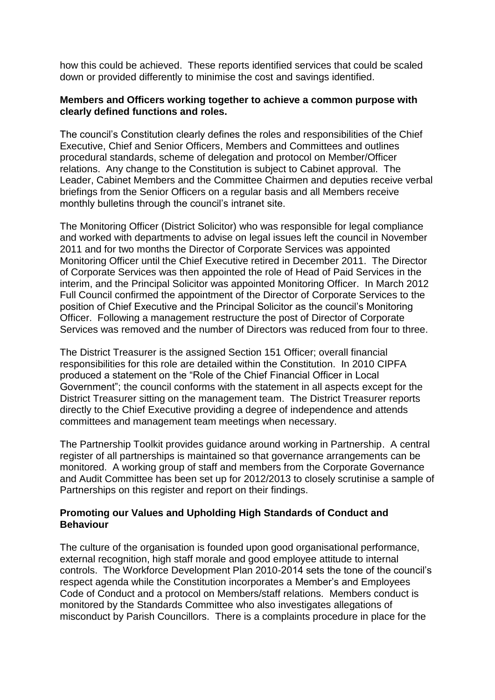how this could be achieved. These reports identified services that could be scaled down or provided differently to minimise the cost and savings identified.

#### **Members and Officers working together to achieve a common purpose with clearly defined functions and roles.**

The council's Constitution clearly defines the roles and responsibilities of the Chief Executive, Chief and Senior Officers, Members and Committees and outlines procedural standards, scheme of delegation and protocol on Member/Officer relations. Any change to the Constitution is subject to Cabinet approval. The Leader, Cabinet Members and the Committee Chairmen and deputies receive verbal briefings from the Senior Officers on a regular basis and all Members receive monthly bulletins through the council's intranet site.

The Monitoring Officer (District Solicitor) who was responsible for legal compliance and worked with departments to advise on legal issues left the council in November 2011 and for two months the Director of Corporate Services was appointed Monitoring Officer until the Chief Executive retired in December 2011. The Director of Corporate Services was then appointed the role of Head of Paid Services in the interim, and the Principal Solicitor was appointed Monitoring Officer. In March 2012 Full Council confirmed the appointment of the Director of Corporate Services to the position of Chief Executive and the Principal Solicitor as the council's Monitoring Officer. Following a management restructure the post of Director of Corporate Services was removed and the number of Directors was reduced from four to three.

The District Treasurer is the assigned Section 151 Officer; overall financial responsibilities for this role are detailed within the Constitution. In 2010 CIPFA produced a statement on the "Role of the Chief Financial Officer in Local Government"; the council conforms with the statement in all aspects except for the District Treasurer sitting on the management team. The District Treasurer reports directly to the Chief Executive providing a degree of independence and attends committees and management team meetings when necessary.

The Partnership Toolkit provides guidance around working in Partnership. A central register of all partnerships is maintained so that governance arrangements can be monitored. A working group of staff and members from the Corporate Governance and Audit Committee has been set up for 2012/2013 to closely scrutinise a sample of Partnerships on this register and report on their findings.

# **Promoting our Values and Upholding High Standards of Conduct and Behaviour**

The culture of the organisation is founded upon good organisational performance, external recognition, high staff morale and good employee attitude to internal controls. The Workforce Development Plan 2010-2014 sets the tone of the council's respect agenda while the Constitution incorporates a Member's and Employees Code of Conduct and a protocol on Members/staff relations. Members conduct is monitored by the Standards Committee who also investigates allegations of misconduct by Parish Councillors. There is a complaints procedure in place for the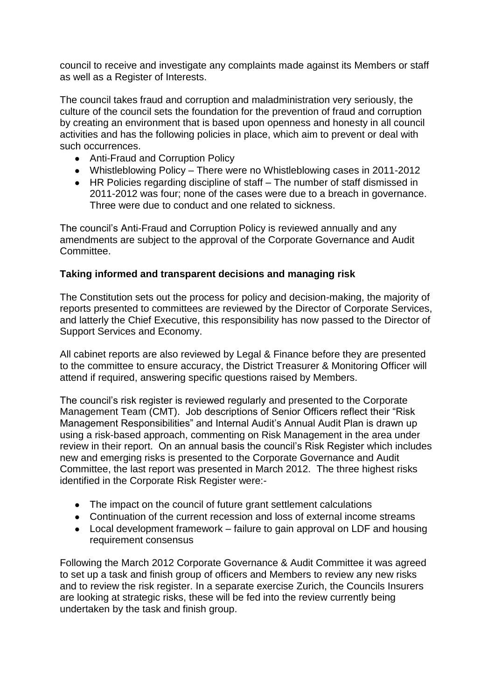council to receive and investigate any complaints made against its Members or staff as well as a Register of Interests.

The council takes fraud and corruption and maladministration very seriously, the culture of the council sets the foundation for the prevention of fraud and corruption by creating an environment that is based upon openness and honesty in all council activities and has the following policies in place, which aim to prevent or deal with such occurrences.

- Anti-Fraud and Corruption Policy
- Whistleblowing Policy There were no Whistleblowing cases in 2011-2012
- HR Policies regarding discipline of staff The number of staff dismissed in 2011-2012 was four; none of the cases were due to a breach in governance. Three were due to conduct and one related to sickness.

The council's Anti-Fraud and Corruption Policy is reviewed annually and any amendments are subject to the approval of the Corporate Governance and Audit Committee.

# **Taking informed and transparent decisions and managing risk**

The Constitution sets out the process for policy and decision-making, the majority of reports presented to committees are reviewed by the Director of Corporate Services, and latterly the Chief Executive, this responsibility has now passed to the Director of Support Services and Economy.

All cabinet reports are also reviewed by Legal & Finance before they are presented to the committee to ensure accuracy, the District Treasurer & Monitoring Officer will attend if required, answering specific questions raised by Members.

The council's risk register is reviewed regularly and presented to the Corporate Management Team (CMT). Job descriptions of Senior Officers reflect their "Risk Management Responsibilities" and Internal Audit's Annual Audit Plan is drawn up using a risk-based approach, commenting on Risk Management in the area under review in their report. On an annual basis the council's Risk Register which includes new and emerging risks is presented to the Corporate Governance and Audit Committee, the last report was presented in March 2012. The three highest risks identified in the Corporate Risk Register were:-

- The impact on the council of future grant settlement calculations
- Continuation of the current recession and loss of external income streams
- Local development framework failure to gain approval on LDF and housing requirement consensus

Following the March 2012 Corporate Governance & Audit Committee it was agreed to set up a task and finish group of officers and Members to review any new risks and to review the risk register. In a separate exercise Zurich, the Councils Insurers are looking at strategic risks, these will be fed into the review currently being undertaken by the task and finish group.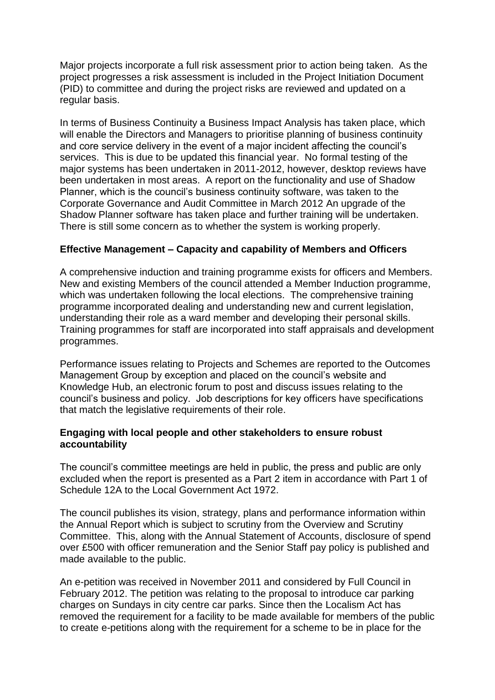Major projects incorporate a full risk assessment prior to action being taken. As the project progresses a risk assessment is included in the Project Initiation Document (PID) to committee and during the project risks are reviewed and updated on a regular basis.

In terms of Business Continuity a Business Impact Analysis has taken place, which will enable the Directors and Managers to prioritise planning of business continuity and core service delivery in the event of a major incident affecting the council's services. This is due to be updated this financial year. No formal testing of the major systems has been undertaken in 2011-2012, however, desktop reviews have been undertaken in most areas. A report on the functionality and use of Shadow Planner, which is the council's business continuity software, was taken to the Corporate Governance and Audit Committee in March 2012 An upgrade of the Shadow Planner software has taken place and further training will be undertaken. There is still some concern as to whether the system is working properly.

# **Effective Management – Capacity and capability of Members and Officers**

A comprehensive induction and training programme exists for officers and Members. New and existing Members of the council attended a Member Induction programme, which was undertaken following the local elections. The comprehensive training programme incorporated dealing and understanding new and current legislation, understanding their role as a ward member and developing their personal skills. Training programmes for staff are incorporated into staff appraisals and development programmes.

Performance issues relating to Projects and Schemes are reported to the Outcomes Management Group by exception and placed on the council's website and Knowledge Hub, an electronic forum to post and discuss issues relating to the council's business and policy. Job descriptions for key officers have specifications that match the legislative requirements of their role.

#### **Engaging with local people and other stakeholders to ensure robust accountability**

The council's committee meetings are held in public, the press and public are only excluded when the report is presented as a Part 2 item in accordance with Part 1 of Schedule 12A to the Local Government Act 1972.

The council publishes its vision, strategy, plans and performance information within the Annual Report which is subject to scrutiny from the Overview and Scrutiny Committee. This, along with the Annual Statement of Accounts, disclosure of spend over £500 with officer remuneration and the Senior Staff pay policy is published and made available to the public.

An e-petition was received in November 2011 and considered by Full Council in February 2012. The petition was relating to the proposal to introduce car parking charges on Sundays in city centre car parks. Since then the Localism Act has removed the requirement for a facility to be made available for members of the public to create e-petitions along with the requirement for a scheme to be in place for the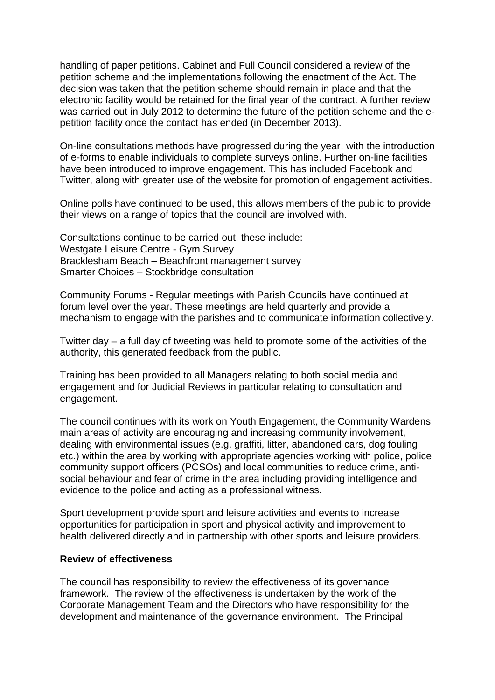handling of paper petitions. Cabinet and Full Council considered a review of the petition scheme and the implementations following the enactment of the Act. The decision was taken that the petition scheme should remain in place and that the electronic facility would be retained for the final year of the contract. A further review was carried out in July 2012 to determine the future of the petition scheme and the epetition facility once the contact has ended (in December 2013).

On-line consultations methods have progressed during the year, with the introduction of e-forms to enable individuals to complete surveys online. Further on-line facilities have been introduced to improve engagement. This has included Facebook and Twitter, along with greater use of the website for promotion of engagement activities.

Online polls have continued to be used, this allows members of the public to provide their views on a range of topics that the council are involved with.

Consultations continue to be carried out, these include: Westgate Leisure Centre - Gym Survey Bracklesham Beach – Beachfront management survey Smarter Choices – Stockbridge consultation

Community Forums - Regular meetings with Parish Councils have continued at forum level over the year. These meetings are held quarterly and provide a mechanism to engage with the parishes and to communicate information collectively.

Twitter day – a full day of tweeting was held to promote some of the activities of the authority, this generated feedback from the public.

Training has been provided to all Managers relating to both social media and engagement and for Judicial Reviews in particular relating to consultation and engagement.

The council continues with its work on Youth Engagement, the Community Wardens main areas of activity are encouraging and increasing community involvement, dealing with environmental issues (e.g. graffiti, litter, abandoned cars, dog fouling etc.) within the area by working with appropriate agencies working with police, police community support officers (PCSOs) and local communities to reduce crime, antisocial behaviour and fear of crime in the area including providing intelligence and evidence to the police and acting as a professional witness.

Sport development provide sport and leisure activities and events to increase opportunities for participation in sport and physical activity and improvement to health delivered directly and in partnership with other sports and leisure providers.

#### **Review of effectiveness**

The council has responsibility to review the effectiveness of its governance framework. The review of the effectiveness is undertaken by the work of the Corporate Management Team and the Directors who have responsibility for the development and maintenance of the governance environment. The Principal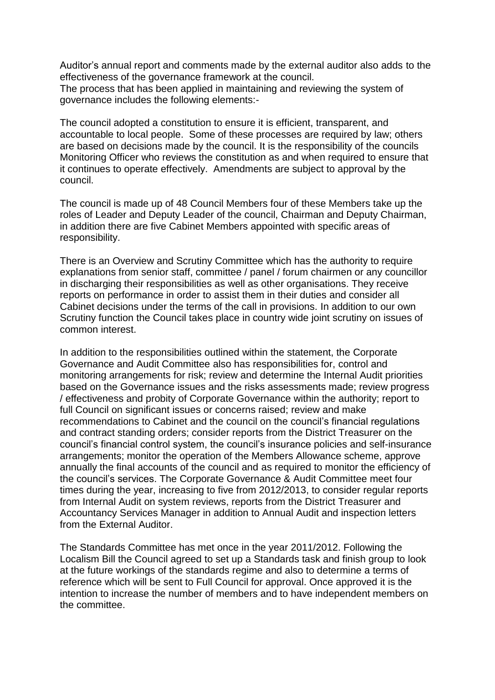Auditor's annual report and comments made by the external auditor also adds to the effectiveness of the governance framework at the council.

The process that has been applied in maintaining and reviewing the system of governance includes the following elements:-

The council adopted a constitution to ensure it is efficient, transparent, and accountable to local people. Some of these processes are required by law; others are based on decisions made by the council. It is the responsibility of the councils Monitoring Officer who reviews the constitution as and when required to ensure that it continues to operate effectively. Amendments are subject to approval by the council.

The council is made up of 48 Council Members four of these Members take up the roles of Leader and Deputy Leader of the council, Chairman and Deputy Chairman, in addition there are five Cabinet Members appointed with specific areas of responsibility.

There is an Overview and Scrutiny Committee which has the authority to require explanations from senior staff, committee / panel / forum chairmen or any councillor in discharging their responsibilities as well as other organisations. They receive reports on performance in order to assist them in their duties and consider all Cabinet decisions under the terms of the call in provisions. In addition to our own Scrutiny function the Council takes place in country wide joint scrutiny on issues of common interest.

In addition to the responsibilities outlined within the statement, the Corporate Governance and Audit Committee also has responsibilities for, control and monitoring arrangements for risk; review and determine the Internal Audit priorities based on the Governance issues and the risks assessments made; review progress / effectiveness and probity of Corporate Governance within the authority; report to full Council on significant issues or concerns raised; review and make recommendations to Cabinet and the council on the council's financial regulations and contract standing orders; consider reports from the District Treasurer on the council's financial control system, the council's insurance policies and self-insurance arrangements; monitor the operation of the Members Allowance scheme, approve annually the final accounts of the council and as required to monitor the efficiency of the council's services. The Corporate Governance & Audit Committee meet four times during the year, increasing to five from 2012/2013, to consider regular reports from Internal Audit on system reviews, reports from the District Treasurer and Accountancy Services Manager in addition to Annual Audit and inspection letters from the External Auditor.

The Standards Committee has met once in the year 2011/2012. Following the Localism Bill the Council agreed to set up a Standards task and finish group to look at the future workings of the standards regime and also to determine a terms of reference which will be sent to Full Council for approval. Once approved it is the intention to increase the number of members and to have independent members on the committee.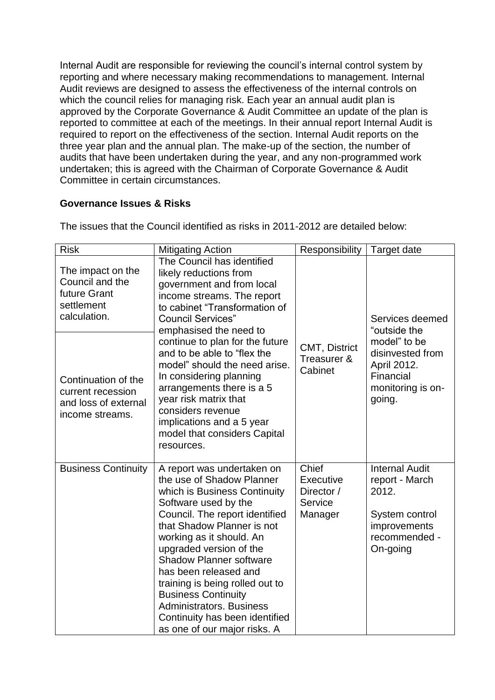Internal Audit are responsible for reviewing the council's internal control system by reporting and where necessary making recommendations to management. Internal Audit reviews are designed to assess the effectiveness of the internal controls on which the council relies for managing risk. Each year an annual audit plan is approved by the Corporate Governance & Audit Committee an update of the plan is reported to committee at each of the meetings. In their annual report Internal Audit is required to report on the effectiveness of the section. Internal Audit reports on the three year plan and the annual plan. The make-up of the section, the number of audits that have been undertaken during the year, and any non-programmed work undertaken; this is agreed with the Chairman of Corporate Governance & Audit Committee in certain circumstances.

# **Governance Issues & Risks**

| <b>Risk</b>                                                                         | <b>Mitigating Action</b>                                                                                                                                                                                                                                                                                                                                                                                                                                                                   | Responsibility                                         | Target date                                                                                                     |
|-------------------------------------------------------------------------------------|--------------------------------------------------------------------------------------------------------------------------------------------------------------------------------------------------------------------------------------------------------------------------------------------------------------------------------------------------------------------------------------------------------------------------------------------------------------------------------------------|--------------------------------------------------------|-----------------------------------------------------------------------------------------------------------------|
| The impact on the<br>Council and the<br>future Grant<br>settlement<br>calculation.  | The Council has identified<br>likely reductions from<br>government and from local<br>income streams. The report<br>to cabinet "Transformation of<br><b>Council Services"</b><br>emphasised the need to<br>continue to plan for the future<br>and to be able to "flex the<br>model" should the need arise.<br>In considering planning<br>arrangements there is a 5<br>year risk matrix that<br>considers revenue<br>implications and a 5 year<br>model that considers Capital<br>resources. |                                                        | Services deemed<br>"outside the                                                                                 |
| Continuation of the<br>current recession<br>and loss of external<br>income streams. |                                                                                                                                                                                                                                                                                                                                                                                                                                                                                            | CMT, District<br>Treasurer &<br>Cabinet                | model" to be<br>disinvested from<br>April 2012.<br>Financial<br>monitoring is on-<br>going.                     |
| <b>Business Continuity</b>                                                          | A report was undertaken on<br>the use of Shadow Planner<br>which is Business Continuity<br>Software used by the<br>Council. The report identified<br>that Shadow Planner is not<br>working as it should. An<br>upgraded version of the<br><b>Shadow Planner software</b><br>has been released and<br>training is being rolled out to<br><b>Business Continuity</b><br><b>Administrators, Business</b><br>Continuity has been identified<br>as one of our major risks. A                    | Chief<br>Executive<br>Director /<br>Service<br>Manager | <b>Internal Audit</b><br>report - March<br>2012.<br>System control<br>improvements<br>recommended -<br>On-going |

The issues that the Council identified as risks in 2011-2012 are detailed below: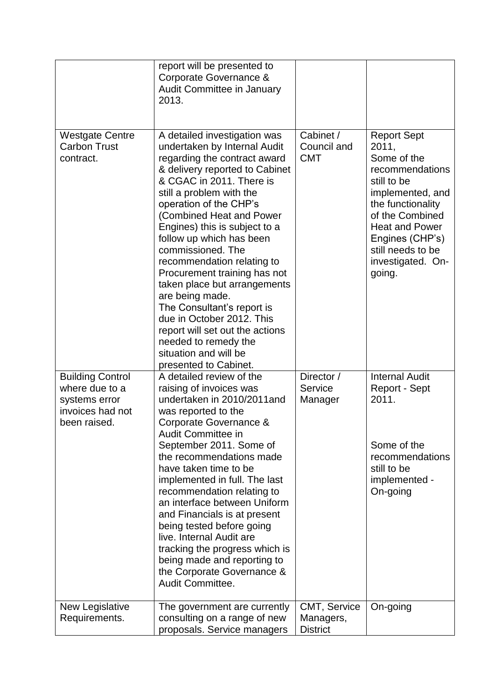|                                                                                                | report will be presented to<br>Corporate Governance &<br><b>Audit Committee in January</b><br>2013.                                                                                                                                                                                                                                                                                                                                                                                                                                                                                                                     |                                              |                                                                                                                                                                                                                                          |
|------------------------------------------------------------------------------------------------|-------------------------------------------------------------------------------------------------------------------------------------------------------------------------------------------------------------------------------------------------------------------------------------------------------------------------------------------------------------------------------------------------------------------------------------------------------------------------------------------------------------------------------------------------------------------------------------------------------------------------|----------------------------------------------|------------------------------------------------------------------------------------------------------------------------------------------------------------------------------------------------------------------------------------------|
| <b>Westgate Centre</b><br><b>Carbon Trust</b><br>contract.                                     | A detailed investigation was<br>undertaken by Internal Audit<br>regarding the contract award<br>& delivery reported to Cabinet<br>& CGAC in 2011. There is<br>still a problem with the<br>operation of the CHP's<br>(Combined Heat and Power<br>Engines) this is subject to a<br>follow up which has been<br>commissioned. The<br>recommendation relating to<br>Procurement training has not<br>taken place but arrangements<br>are being made.<br>The Consultant's report is<br>due in October 2012. This<br>report will set out the actions<br>needed to remedy the<br>situation and will be<br>presented to Cabinet. | Cabinet /<br>Council and<br><b>CMT</b>       | <b>Report Sept</b><br>2011,<br>Some of the<br>recommendations<br>still to be<br>implemented, and<br>the functionality<br>of the Combined<br><b>Heat and Power</b><br>Engines (CHP's)<br>still needs to be<br>investigated. On-<br>going. |
| <b>Building Control</b><br>where due to a<br>systems error<br>invoices had not<br>been raised. | A detailed review of the<br>raising of invoices was<br>undertaken in 2010/2011 and<br>was reported to the<br>Corporate Governance &<br><b>Audit Committee in</b><br>September 2011. Some of<br>the recommendations made<br>have taken time to be                                                                                                                                                                                                                                                                                                                                                                        | Director /<br>Service<br>Manager             | <b>Internal Audit</b><br>Report - Sept<br>2011.<br>Some of the<br>recommendations<br>still to be                                                                                                                                         |
|                                                                                                | implemented in full. The last<br>recommendation relating to<br>an interface between Uniform<br>and Financials is at present<br>being tested before going<br>live. Internal Audit are<br>tracking the progress which is<br>being made and reporting to<br>the Corporate Governance &<br>Audit Committee.                                                                                                                                                                                                                                                                                                                 |                                              | implemented -<br>On-going                                                                                                                                                                                                                |
| New Legislative<br>Requirements.                                                               | The government are currently<br>consulting on a range of new<br>proposals. Service managers                                                                                                                                                                                                                                                                                                                                                                                                                                                                                                                             | CMT, Service<br>Managers,<br><b>District</b> | On-going                                                                                                                                                                                                                                 |